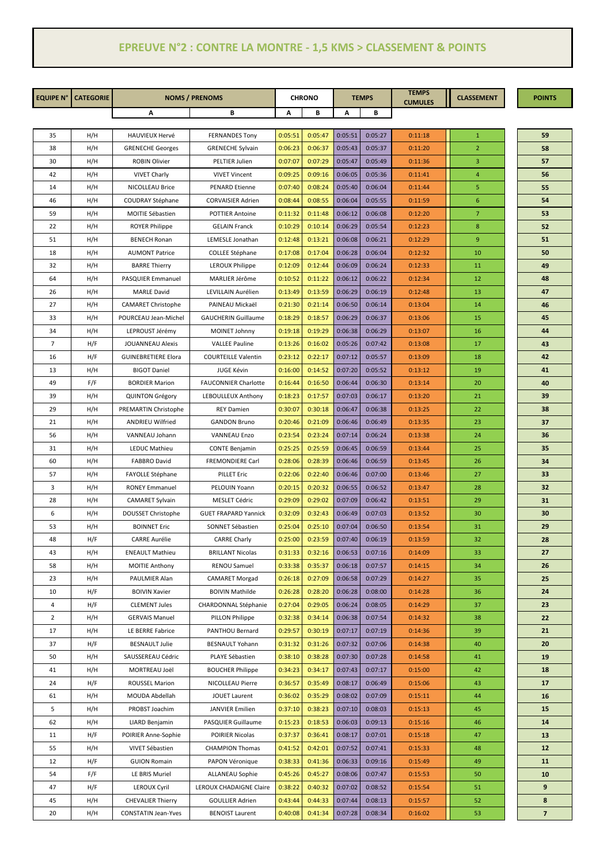## **EPREUVE N°2 : CONTRE LA MONTRE - 1,5 KMS > CLASSEMENT & POINTS**

| <b>EQUIPE N°</b> | <b>CATEGORIE</b> |                            | <b>NOMS / PRENOMS</b>       |         | <b>CHRONO</b> | <b>TEMPS</b> |         | <b>TEMPS</b>   | <b>CLASSEMENT</b> | <b>POINTS</b>            |
|------------------|------------------|----------------------------|-----------------------------|---------|---------------|--------------|---------|----------------|-------------------|--------------------------|
|                  |                  | Α                          | В                           | А       | В             | А            | В       | <b>CUMULES</b> |                   |                          |
|                  |                  |                            |                             |         |               |              |         |                |                   |                          |
| 35               | H/H              | <b>HAUVIEUX Hervé</b>      | <b>FERNANDES Tony</b>       | 0:05:51 | 0:05:47       | 0:05:51      | 0:05:27 | 0:11:18        | $\mathbf{1}$      | 59                       |
| 38               | H/H              | <b>GRENECHE Georges</b>    | <b>GRENECHE Sylvain</b>     | 0:06:23 | 0:06:37       | 0:05:43      | 0:05:37 | 0:11:20        | $\overline{2}$    | 58                       |
| 30               | H/H              | <b>ROBIN Olivier</b>       | PELTIER Julien              | 0:07:07 | 0:07:29       | 0:05:47      | 0:05:49 | 0:11:36        | 3                 | 57                       |
| 42               | H/H              | <b>VIVET Charly</b>        | <b>VIVET Vincent</b>        | 0:09:25 | 0:09:16       | 0:06:05      | 0:05:36 | 0:11:41        | 4                 | 56                       |
| 14               | H/H              | NICOLLEAU Brice            | <b>PENARD Etienne</b>       | 0:07:40 | 0:08:24       | 0:05:40      | 0:06:04 | 0:11:44        | 5                 | 55                       |
| 46               | H/H              | COUDRAY Stéphane           | <b>CORVAISIER Adrien</b>    | 0:08:44 | 0:08:55       | 0:06:04      | 0:05:55 | 0:11:59        | 6                 | 54                       |
| 59               | H/H              | MOITIE Sébastien           | <b>POTTIER Antoine</b>      | 0:11:32 | 0:11:48       | 0:06:12      | 0:06:08 | 0:12:20        | 7                 | 53                       |
| 22               | H/H              | <b>ROYER Philippe</b>      | <b>GELAIN Franck</b>        | 0:10:29 | 0:10:14       | 0:06:29      | 0:05:54 | 0:12:23        | 8                 | 52                       |
| 51               | H/H              | <b>BENECH Ronan</b>        | LEMESLE Jonathan            | 0:12:48 | 0:13:21       | 0:06:08      | 0:06:21 | 0:12:29        | 9                 | 51                       |
| 18               | H/H              | <b>AUMONT Patrice</b>      | COLLEE Stéphane             | 0:17:08 | 0:17:04       | 0:06:28      | 0:06:04 | 0:12:32        | 10                | 50                       |
| 32               | H/H              | <b>BARRE Thierry</b>       | LEROUX Philippe             | 0:12:09 | 0:12:44       | 0:06:09      | 0:06:24 | 0:12:33        | 11                | 49                       |
| 64               | H/H              | PASQUIER Emmanuel          | MARLIER Jérôme              | 0:10:52 | 0:11:22       | 0:06:12      | 0:06:22 | 0:12:34        | 12                | 48                       |
| 26               | H/H              | <b>MARLE David</b>         | LEVILLAIN Aurélien          | 0:13:49 | 0:13:59       | 0:06:29      | 0:06:19 | 0:12:48        | 13                | 47                       |
| 27               | H/H              | CAMARET Christophe         | PAINEAU Mickaël             | 0:21:30 | 0:21:14       | 0:06:50      | 0:06:14 | 0:13:04        | 14                | 46                       |
| 33               | H/H              | POURCEAU Jean-Michel       | <b>GAUCHERIN Guillaume</b>  | 0:18:29 | 0:18:57       | 0:06:29      | 0:06:37 | 0:13:06        | 15                | 45                       |
| 34               | H/H              | LEPROUST Jérémy            | MOINET Johnny               | 0:19:18 | 0:19:29       | 0:06:38      | 0:06:29 | 0:13:07        | 16                | 44                       |
| $\overline{7}$   | H/F              | <b>JOUANNEAU Alexis</b>    | <b>VALLEE Pauline</b>       | 0:13:26 | 0:16:02       | 0:05:26      | 0:07:42 | 0:13:08        | 17                | 43                       |
| 16               | H/F              | <b>GUINEBRETIERE Elora</b> | <b>COURTEILLE Valentin</b>  | 0:23:12 | 0:22:17       | 0:07:12      | 0:05:57 | 0:13:09        | 18                | 42                       |
| 13               | H/H              | <b>BIGOT Daniel</b>        | <b>JUGE Kévin</b>           | 0:16:00 | 0:14:52       | 0:07:20      | 0:05:52 | 0:13:12        | 19                | 41                       |
| 49               | F/F              | <b>BORDIER Marion</b>      | <b>FAUCONNIER Charlotte</b> | 0:16:44 | 0:16:50       | 0:06:44      | 0:06:30 | 0:13:14        | 20                | 40                       |
| 39               | H/H              | <b>QUINTON Grégory</b>     | LEBOULLEUX Anthony          | 0:18:23 | 0:17:57       | 0:07:03      | 0:06:17 | 0:13:20        | 21                | 39                       |
| 29               | H/H              | PREMARTIN Christophe       | <b>REY Damien</b>           | 0:30:07 | 0:30:18       | 0:06:47      | 0:06:38 | 0:13:25        | 22                | 38                       |
| 21               | H/H              | <b>ANDRIEU Wilfried</b>    | <b>GANDON Bruno</b>         | 0:20:46 | 0:21:09       | 0:06:46      | 0:06:49 | 0:13:35        | 23                | 37                       |
| 56               | H/H              | VANNEAU Johann             | <b>VANNEAU Enzo</b>         | 0:23:54 | 0:23:24       | 0:07:14      | 0:06:24 | 0:13:38        | 24                | 36                       |
| 31               | H/H              | LEDUC Mathieu              | <b>CONTE Benjamin</b>       | 0:25:25 | 0:25:59       | 0:06:45      | 0:06:59 | 0:13:44        | 25                | 35                       |
| 60               | H/H              | <b>FABBRO David</b>        | <b>FREMONDIERE Carl</b>     | 0:28:06 | 0:28:39       | 0:06:46      | 0:06:59 | 0:13:45        | 26                | 34                       |
| 57               | H/H              | <b>FAYOLLE Stéphane</b>    | <b>PILLET Eric</b>          | 0:22:06 | 0:22:40       | 0:06:46      | 0:07:00 | 0:13:46        | 27                | 33                       |
| 3                | H/H              | <b>RONEY Emmanuel</b>      | PELOUIN Yoann               | 0:20:15 | 0:20:32       | 0:06:55      | 0:06:52 | 0:13:47        | 28                | 32                       |
| 28               | H/H              | <b>CAMARET Sylvain</b>     | <b>MESLET Cédric</b>        | 0:29:09 | 0:29:02       | 0:07:09      | 0:06:42 | 0:13:51        | 29                | 31                       |
| 6                | H/H              | DOUSSET Christophe         | <b>GUET FRAPARD Yannick</b> | 0:32:09 | 0:32:43       | 0:06:49      | 0:07:03 | 0:13:52        | 30                | 30                       |
| 53               | H/H              | <b>BOINNET Eric</b>        | SONNET Sébastien            | 0:25:04 | 0:25:10       | 0:07:04      | 0:06:50 | 0:13:54        | 31                | 29                       |
| 48               | H/F              | <b>CARRE Aurélie</b>       | <b>CARRE Charly</b>         | 0:25:00 | 0:23:59       | 0:07:40      | 0:06:19 | 0:13:59        | 32                | 28                       |
| 43               | H/H              | <b>ENEAULT Mathieu</b>     | <b>BRILLANT Nicolas</b>     | 0:31:33 | 0:32:16       | 0:06:53      | 0:07:16 | 0:14:09        | 33                | 27                       |
| 58               | H/H              | <b>MOITIE Anthony</b>      | RENOU Samuel                | 0:33:38 | 0:35:37       | 0:06:18      | 0:07:57 | 0:14:15        | 34                | 26                       |
| 23               | H/H              | PAULMIER Alan              | <b>CAMARET Morgad</b>       | 0:26:18 | 0:27:09       | 0:06:58      | 0:07:29 | 0:14:27        | 35                | 25                       |
| 10               | H/F              | <b>BOIVIN Xavier</b>       | <b>BOIVIN Mathilde</b>      | 0:26:28 | 0:28:20       | 0:06:28      | 0:08:00 | 0:14:28        | 36                | 24                       |
| 4                | H/F              | <b>CLEMENT Jules</b>       | CHARDONNAL Stéphanie        | 0:27:04 | 0:29:05       | 0:06:24      | 0:08:05 | 0:14:29        | 37                | 23                       |
| $\overline{2}$   | H/H              | <b>GERVAIS Manuel</b>      | PILLON Philippe             | 0:32:38 | 0:34:14       | 0:06:38      | 0:07:54 | 0:14:32        | 38                | 22                       |
| 17               | H/H              | LE BERRE Fabrice           | PANTHOU Bernard             | 0:29:57 | 0:30:19       | 0:07:17      | 0:07:19 | 0:14:36        | 39                | 21                       |
| 37               | H/F              | <b>BESNAULT Julie</b>      | <b>BESNAULT Yohann</b>      | 0:31:32 | 0:31:26       | 0:07:32      | 0:07:06 | 0:14:38        | 40                | 20                       |
| 50               | H/H              | SAUSSEREAU Cédric          | PLAYE Sébastien             | 0:38:10 | 0:38:28       | 0:07:30      | 0:07:28 | 0:14:58        | 41                | 19                       |
| 41               | H/H              | MORTREAU Joël              | <b>BOUCHER Philippe</b>     | 0:34:23 | 0:34:17       | 0:07:43      | 0:07:17 | 0:15:00        | 42                | 18                       |
| 24               | H/F              | ROUSSEL Marion             | NICOLLEAU Pierre            | 0:36:57 | 0:35:49       | 0:08:17      | 0:06:49 | 0:15:06        | 43                | 17                       |
| 61               | H/H              | MOUDA Abdellah             | <b>JOUET Laurent</b>        | 0:36:02 | 0:35:29       | 0:08:02      | 0:07:09 | 0:15:11        | 44                | 16                       |
| 5                | H/H              | PROBST Joachim             | <b>JANVIER Emilien</b>      | 0:37:10 | 0:38:23       | 0:07:10      | 0:08:03 | 0:15:13        | 45                | 15                       |
| 62               | H/H              | LIARD Benjamin             | PASQUIER Guillaume          | 0:15:23 | 0:18:53       | 0:06:03      | 0:09:13 | 0:15:16        | 46                | 14                       |
| 11               | H/F              | POIRIER Anne-Sophie        | POIRIER Nicolas             | 0:37:37 | 0:36:41       | 0:08:17      | 0:07:01 | 0:15:18        | 47                | 13                       |
| 55               | H/H              | VIVET Sébastien            | <b>CHAMPION Thomas</b>      | 0:41:52 | 0:42:01       | 0:07:52      | 0:07:41 | 0:15:33        | 48                | 12                       |
| 12               | H/F              | <b>GUION Romain</b>        | PAPON Véronique             | 0:38:33 | 0:41:36       | 0:06:33      | 0:09:16 | 0:15:49        | 49                | 11                       |
| 54               | F/F              | LE BRIS Muriel             | ALLANEAU Sophie             | 0:45:26 | 0:45:27       | 0:08:06      | 0:07:47 | 0:15:53        | 50                | 10                       |
| 47               | H/F              | <b>LEROUX Cyril</b>        | LEROUX CHADAIGNE Claire     | 0:38:22 | 0:40:32       | 0:07:02      | 0:08:52 | 0:15:54        | 51                | 9                        |
| 45               | H/H              | <b>CHEVALIER Thierry</b>   | <b>GOULLIER Adrien</b>      | 0:43:44 | 0:44:33       | 0:07:44      | 0:08:13 | 0:15:57        | 52                | 8                        |
| 20               | H/H              | <b>CONSTATIN Jean-Yves</b> | <b>BENOIST Laurent</b>      | 0:40:08 | 0:41:34       | 0:07:28      | 0:08:34 | 0:16:02        | 53                | $\overline{\phantom{a}}$ |